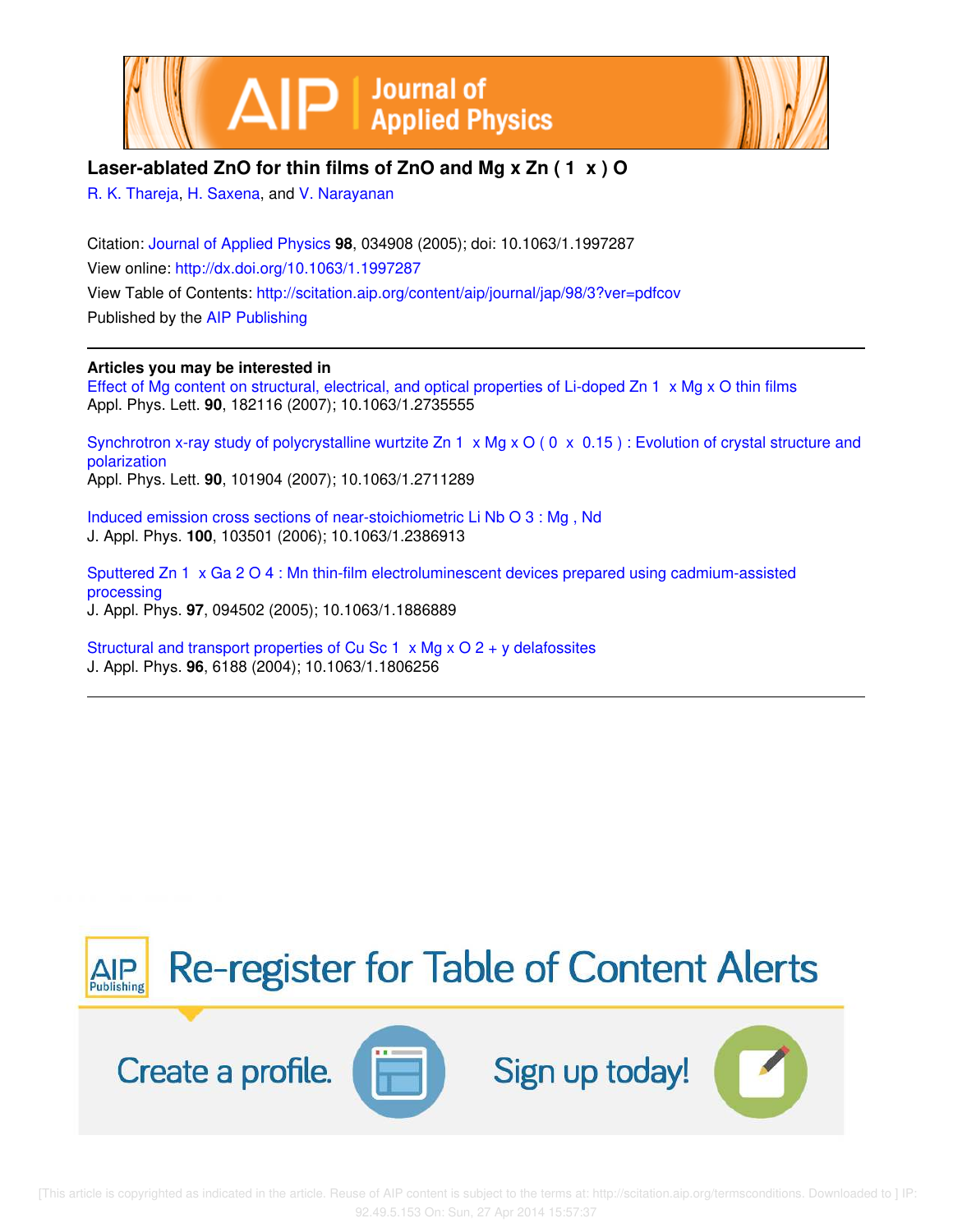



# **Laser-ablated ZnO for thin films of ZnO and Mg x Zn ( 1 x ) O**

R. K. Thareja, H. Saxena, and V. Narayanan

Citation: Journal of Applied Physics **98**, 034908 (2005); doi: 10.1063/1.1997287 View online: http://dx.doi.org/10.1063/1.1997287 View Table of Contents: http://scitation.aip.org/content/aip/journal/jap/98/3?ver=pdfcov Published by the AIP Publishing

## **Articles you may be interested in**

Effect of Mg content on structural, electrical, and optical properties of Li-doped Zn 1 x Mg x O thin films Appl. Phys. Lett. **90**, 182116 (2007); 10.1063/1.2735555

Synchrotron x-ray study of polycrystalline wurtzite Zn 1 x Mg x O (0 x 0.15) : Evolution of crystal structure and polarization Appl. Phys. Lett. **90**, 101904 (2007); 10.1063/1.2711289

Induced emission cross sections of near-stoichiometric Li Nb O 3 : Mg , Nd J. Appl. Phys. **100**, 103501 (2006); 10.1063/1.2386913

Sputtered Zn 1 x Ga 2 O 4 : Mn thin-film electroluminescent devices prepared using cadmium-assisted processing J. Appl. Phys. **97**, 094502 (2005); 10.1063/1.1886889

Structural and transport properties of Cu Sc 1 x Mg x O 2 + y delafossites J. Appl. Phys. **96**, 6188 (2004); 10.1063/1.1806256

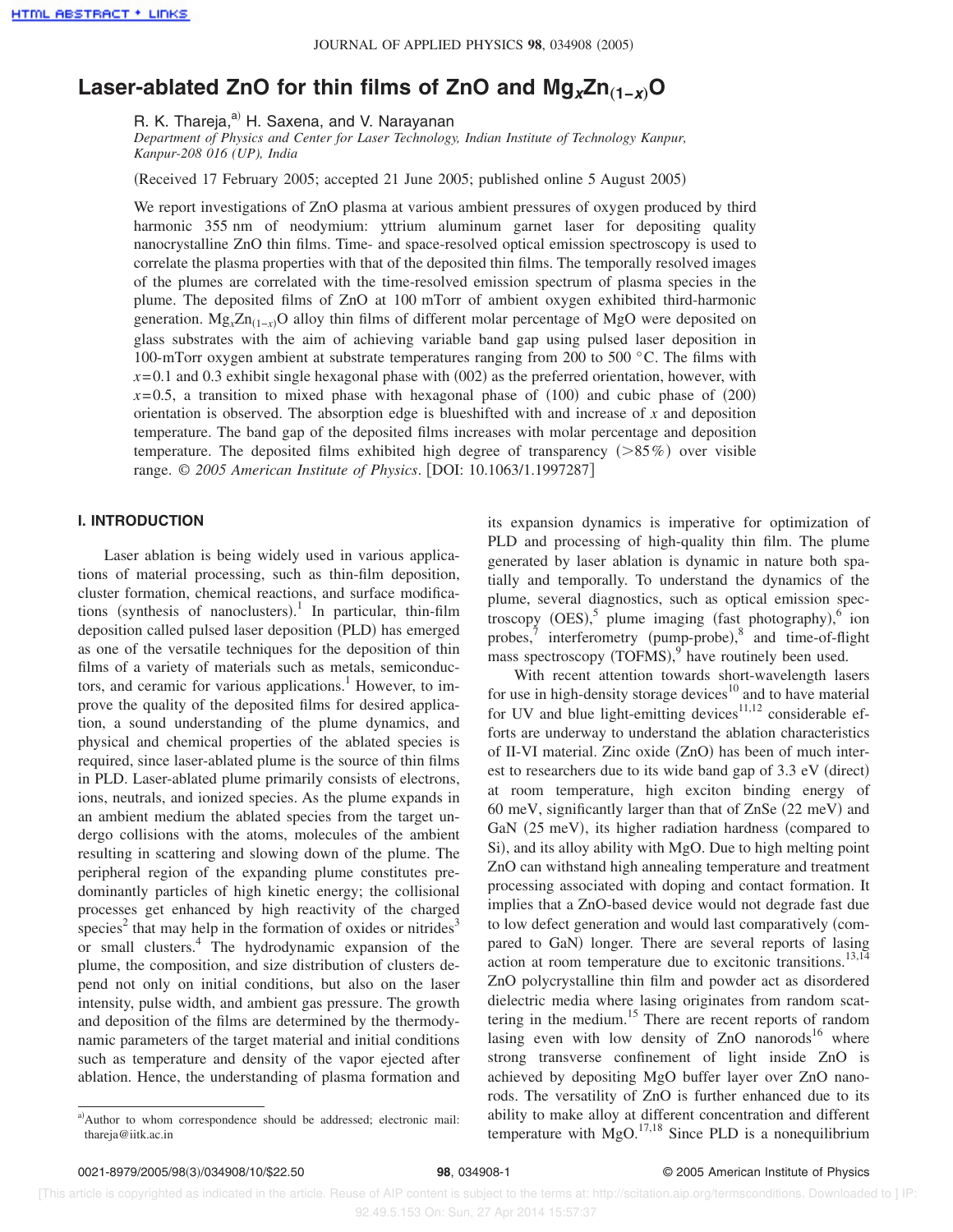# Laser-ablated ZnO for thin films of ZnO and Mg<sub>**x**</sub>Zn<sub>(1-*x*)</sub>O

R. K. Thareja,<sup>a)</sup> H. Saxena, and V. Narayanan

*Department of Physics and Center for Laser Technology, Indian Institute of Technology Kanpur, Kanpur-208 016 (UP), India*

Received 17 February 2005; accepted 21 June 2005; published online 5 August 2005-

We report investigations of ZnO plasma at various ambient pressures of oxygen produced by third harmonic 355 nm of neodymium: yttrium aluminum garnet laser for depositing quality nanocrystalline ZnO thin films. Time- and space-resolved optical emission spectroscopy is used to correlate the plasma properties with that of the deposited thin films. The temporally resolved images of the plumes are correlated with the time-resolved emission spectrum of plasma species in the plume. The deposited films of ZnO at 100 mTorr of ambient oxygen exhibited third-harmonic generation. Mg<sub>*x*</sub>Zn<sub>(1-*x*)</sub>O alloy thin films of different molar percentage of MgO were deposited on glass substrates with the aim of achieving variable band gap using pulsed laser deposition in 100-mTorr oxygen ambient at substrate temperatures ranging from 200 to 500 °C. The films with  $x=0.1$  and 0.3 exhibit single hexagonal phase with  $(002)$  as the preferred orientation, however, with  $x=0.5$ , a transition to mixed phase with hexagonal phase of  $(100)$  and cubic phase of  $(200)$ orientation is observed. The absorption edge is blueshifted with and increase of *x* and deposition temperature. The band gap of the deposited films increases with molar percentage and deposition temperature. The deposited films exhibited high degree of transparency  $(>\!\!85\%)$  over visible range. © 2005 American Institute of Physics. [DOI: 10.1063/1.1997287]

### **I. INTRODUCTION**

Laser ablation is being widely used in various applications of material processing, such as thin-film deposition, cluster formation, chemical reactions, and surface modifications (synthesis of nanoclusters).<sup>1</sup> In particular, thin-film deposition called pulsed laser deposition (PLD) has emerged as one of the versatile techniques for the deposition of thin films of a variety of materials such as metals, semiconductors, and ceramic for various applications.<sup>1</sup> However, to improve the quality of the deposited films for desired application, a sound understanding of the plume dynamics, and physical and chemical properties of the ablated species is required, since laser-ablated plume is the source of thin films in PLD. Laser-ablated plume primarily consists of electrons, ions, neutrals, and ionized species. As the plume expands in an ambient medium the ablated species from the target undergo collisions with the atoms, molecules of the ambient resulting in scattering and slowing down of the plume. The peripheral region of the expanding plume constitutes predominantly particles of high kinetic energy; the collisional processes get enhanced by high reactivity of the charged species<sup>2</sup> that may help in the formation of oxides or nitrides<sup>3</sup> or small clusters.<sup>4</sup> The hydrodynamic expansion of the plume, the composition, and size distribution of clusters depend not only on initial conditions, but also on the laser intensity, pulse width, and ambient gas pressure. The growth and deposition of the films are determined by the thermodynamic parameters of the target material and initial conditions such as temperature and density of the vapor ejected after ablation. Hence, the understanding of plasma formation and its expansion dynamics is imperative for optimization of PLD and processing of high-quality thin film. The plume generated by laser ablation is dynamic in nature both spatially and temporally. To understand the dynamics of the plume, several diagnostics, such as optical emission spectroscopy  $(OES)$ ,<sup>5</sup> plume imaging (fast photography), $6$  ion probes,<sup>7</sup> interferometry (pump-probe),<sup>8</sup> and time-of-flight mass spectroscopy  $(TOFMS)$ , have routinely been used.

With recent attention towards short-wavelength lasers for use in high-density storage devices<sup>10</sup> and to have material for UV and blue light-emitting devices $11,12$  considerable efforts are underway to understand the ablation characteristics of II-VI material. Zinc oxide (ZnO) has been of much interest to researchers due to its wide band gap of 3.3 eV (direct) at room temperature, high exciton binding energy of 60 meV, significantly larger than that of ZnSe (22 meV) and GaN (25 meV), its higher radiation hardness (compared to Si), and its alloy ability with MgO. Due to high melting point ZnO can withstand high annealing temperature and treatment processing associated with doping and contact formation. It implies that a ZnO-based device would not degrade fast due to low defect generation and would last comparatively compared to GaN) longer. There are several reports of lasing action at room temperature due to excitonic transitions. $^{13,14}$ ZnO polycrystalline thin film and powder act as disordered dielectric media where lasing originates from random scattering in the medium.<sup>15</sup> There are recent reports of random lasing even with low density of  $ZnO$  nanorods<sup>16</sup> where strong transverse confinement of light inside ZnO is achieved by depositing MgO buffer layer over ZnO nanorods. The versatility of ZnO is further enhanced due to its ability to make alloy at different concentration and different temperature with  $MgO.<sup>17,18</sup>$  Since PLD is a nonequilibrium

a)Author to whom correspondence should be addressed; electronic mail: thareja@iitk.ac.in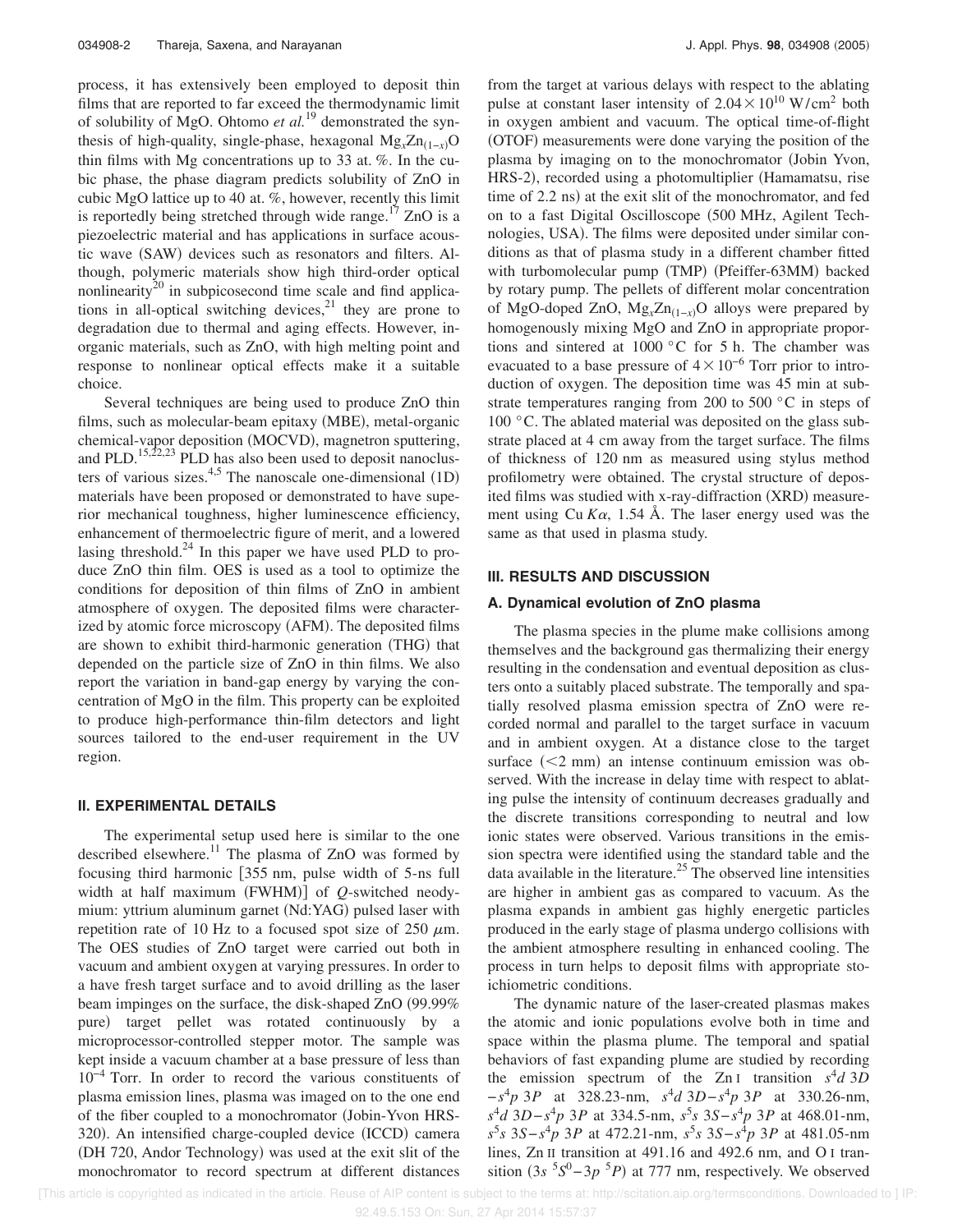process, it has extensively been employed to deposit thin films that are reported to far exceed the thermodynamic limit of solubility of MgO. Ohtomo *et al.*<sup>19</sup> demonstrated the synthesis of high-quality, single-phase, hexagonal  $Mg_x Zn_{(1-x)}$ O thin films with Mg concentrations up to 33 at. %. In the cubic phase, the phase diagram predicts solubility of ZnO in cubic MgO lattice up to 40 at. %, however, recently this limit is reportedly being stretched through wide range.<sup>17</sup> ZnO is a piezoelectric material and has applications in surface acoustic wave (SAW) devices such as resonators and filters. Although, polymeric materials show high third-order optical nonlinearity<sup>20</sup> in subpicosecond time scale and find applications in all-optical switching devices, $2<sup>1</sup>$  they are prone to degradation due to thermal and aging effects. However, inorganic materials, such as ZnO, with high melting point and response to nonlinear optical effects make it a suitable choice.

Several techniques are being used to produce ZnO thin films, such as molecular-beam epitaxy (MBE), metal-organic chemical-vapor deposition (MOCVD), magnetron sputtering, and PLD.<sup>15,22,23</sup> PLD has also been used to deposit nanoclusters of various sizes.<sup>4,5</sup> The nanoscale one-dimensional  $(1D)$ materials have been proposed or demonstrated to have superior mechanical toughness, higher luminescence efficiency, enhancement of thermoelectric figure of merit, and a lowered lasing threshold. $^{24}$  In this paper we have used PLD to produce ZnO thin film. OES is used as a tool to optimize the conditions for deposition of thin films of ZnO in ambient atmosphere of oxygen. The deposited films were characterized by atomic force microscopy (AFM). The deposited films are shown to exhibit third-harmonic generation (THG) that depended on the particle size of ZnO in thin films. We also report the variation in band-gap energy by varying the concentration of MgO in the film. This property can be exploited to produce high-performance thin-film detectors and light sources tailored to the end-user requirement in the UV region.

#### **II. EXPERIMENTAL DETAILS**

The experimental setup used here is similar to the one described elsewhere.<sup>11</sup> The plasma of ZnO was formed by focusing third harmonic [355 nm, pulse width of 5-ns full width at half maximum (FWHM)] of *Q*-switched neodymium: yttrium aluminum garnet (Nd:YAG) pulsed laser with repetition rate of 10 Hz to a focused spot size of 250  $\mu$ m. The OES studies of ZnO target were carried out both in vacuum and ambient oxygen at varying pressures. In order to a have fresh target surface and to avoid drilling as the laser beam impinges on the surface, the disk-shaped ZnO (99.99%) pure- target pellet was rotated continuously by a microprocessor-controlled stepper motor. The sample was kept inside a vacuum chamber at a base pressure of less than 10−4 Torr. In order to record the various constituents of plasma emission lines, plasma was imaged on to the one end of the fiber coupled to a monochromator (Jobin-Yvon HRS-320). An intensified charge-coupled device (ICCD) camera (DH 720, Andor Technology) was used at the exit slit of the monochromator to record spectrum at different distances

from the target at various delays with respect to the ablating pulse at constant laser intensity of  $2.04 \times 10^{10}$  W/cm<sup>2</sup> both in oxygen ambient and vacuum. The optical time-of-flight (OTOF) measurements were done varying the position of the plasma by imaging on to the monochromator Jobin Yvon, HRS-2), recorded using a photomultiplier (Hamamatsu, rise time of 2.2 ns) at the exit slit of the monochromator, and fed on to a fast Digital Oscilloscope 500 MHz, Agilent Technologies, USA). The films were deposited under similar conditions as that of plasma study in a different chamber fitted with turbomolecular pump (TMP) (Pfeiffer-63MM) backed by rotary pump. The pellets of different molar concentration of MgO-doped ZnO, Mg<sub>*x*</sub>Zn<sub>(1-*x*)</sub>O alloys were prepared by homogenously mixing MgO and ZnO in appropriate proportions and sintered at 1000 °C for 5 h. The chamber was evacuated to a base pressure of  $4 \times 10^{-6}$  Torr prior to introduction of oxygen. The deposition time was 45 min at substrate temperatures ranging from 200 to 500 °C in steps of 100 °C. The ablated material was deposited on the glass substrate placed at 4 cm away from the target surface. The films of thickness of 120 nm as measured using stylus method profilometry were obtained. The crystal structure of deposited films was studied with x-ray-diffraction (XRD) measurement using Cu  $K\alpha$ , 1.54 Å. The laser energy used was the same as that used in plasma study.

#### **III. RESULTS AND DISCUSSION**

#### **A. Dynamical evolution of ZnO plasma**

The plasma species in the plume make collisions among themselves and the background gas thermalizing their energy resulting in the condensation and eventual deposition as clusters onto a suitably placed substrate. The temporally and spatially resolved plasma emission spectra of ZnO were recorded normal and parallel to the target surface in vacuum and in ambient oxygen. At a distance close to the target surface  $(< 2$  mm) an intense continuum emission was observed. With the increase in delay time with respect to ablating pulse the intensity of continuum decreases gradually and the discrete transitions corresponding to neutral and low ionic states were observed. Various transitions in the emission spectra were identified using the standard table and the data available in the literature.<sup>25</sup> The observed line intensities are higher in ambient gas as compared to vacuum. As the plasma expands in ambient gas highly energetic particles produced in the early stage of plasma undergo collisions with the ambient atmosphere resulting in enhanced cooling. The process in turn helps to deposit films with appropriate stoichiometric conditions.

The dynamic nature of the laser-created plasmas makes the atomic and ionic populations evolve both in time and space within the plasma plume. The temporal and spatial behaviors of fast expanding plume are studied by recording the emission spectrum of the Zn<sub>I</sub> transition  $s^4d$  3*D* −*s* <sup>4</sup>*p* 3*P* at 328.23-nm, *s* <sup>4</sup>*d* 3*D*−*s* <sup>4</sup>*p* 3*P* at 330.26-nm, *s* <sup>4</sup>*d* 3*D*−*s* <sup>4</sup>*p* 3*P* at 334.5-nm, *s* 5 *s* 3*S*−*s* <sup>4</sup>*p* 3*P* at 468.01-nm, *s* 5 *s* 3*S*−*s* <sup>4</sup>*p* 3*P* at 472.21-nm, *s* 5 *s* 3*S*−*s* <sup>4</sup>*p* 3*P* at 481.05-nm lines, Zn II transition at 491.16 and 492.6 nm, and O I transition  $(3s<sup>5</sup>S<sup>0</sup> - 3p<sup>5</sup>P)$  at 777 nm, respectively. We observed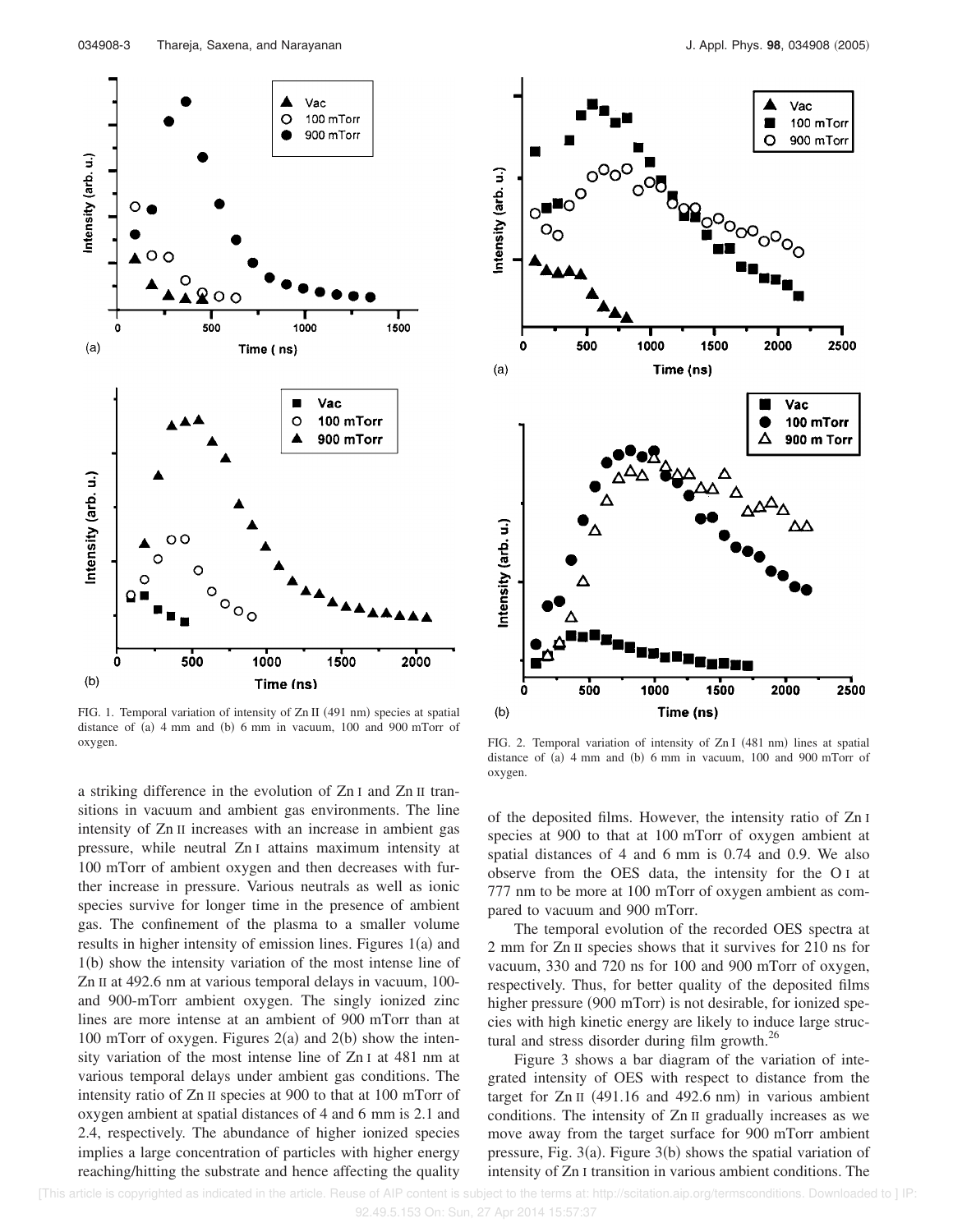

FIG. 1. Temporal variation of intensity of Zn II (491 nm) species at spatial distance of (a)  $4 \text{ mm}$  and (b)  $6 \text{ mm}$  in vacuum,  $100 \text{ and } 900 \text{ mT}$  or oxygen. The same of the state of the state of the state of the state of  $ZnI$  (481 nm) lines at spatial

a striking difference in the evolution of Zn I and Zn II transitions in vacuum and ambient gas environments. The line intensity of Zn II increases with an increase in ambient gas pressure, while neutral Zn I attains maximum intensity at 100 mTorr of ambient oxygen and then decreases with further increase in pressure. Various neutrals as well as ionic species survive for longer time in the presence of ambient gas. The confinement of the plasma to a smaller volume results in higher intensity of emission lines. Figures  $1(a)$  and 1(b) show the intensity variation of the most intense line of Zn II at 492.6 nm at various temporal delays in vacuum, 100 and 900-mTorr ambient oxygen. The singly ionized zinc lines are more intense at an ambient of 900 mTorr than at 100 mTorr of oxygen. Figures  $2(a)$  and  $2(b)$  show the intensity variation of the most intense line of Zn I at 481 nm at various temporal delays under ambient gas conditions. The intensity ratio of Zn II species at 900 to that at 100 mTorr of oxygen ambient at spatial distances of 4 and 6 mm is 2.1 and 2.4, respectively. The abundance of higher ionized species implies a large concentration of particles with higher energy reaching/hitting the substrate and hence affecting the quality



distance of (a)  $4 \text{ mm}$  and (b)  $6 \text{ mm}$  in vacuum,  $100 \text{ and } 900 \text{ mT}$  or oxygen.

of the deposited films. However, the intensity ratio of Zn I species at 900 to that at 100 mTorr of oxygen ambient at spatial distances of 4 and 6 mm is 0.74 and 0.9. We also observe from the OES data, the intensity for the O I at 777 nm to be more at 100 mTorr of oxygen ambient as compared to vacuum and 900 mTorr.

The temporal evolution of the recorded OES spectra at 2 mm for Zn II species shows that it survives for 210 ns for vacuum, 330 and 720 ns for 100 and 900 mTorr of oxygen, respectively. Thus, for better quality of the deposited films higher pressure (900 mTorr) is not desirable, for ionized species with high kinetic energy are likely to induce large structural and stress disorder during film growth. $^{26}$ 

Figure 3 shows a bar diagram of the variation of integrated intensity of OES with respect to distance from the target for  $Zn$  II (491.16 and 492.6 nm) in various ambient conditions. The intensity of Zn II gradually increases as we move away from the target surface for 900 mTorr ambient pressure, Fig.  $3(a)$ . Figure  $3(b)$  shows the spatial variation of intensity of Zn I transition in various ambient conditions. The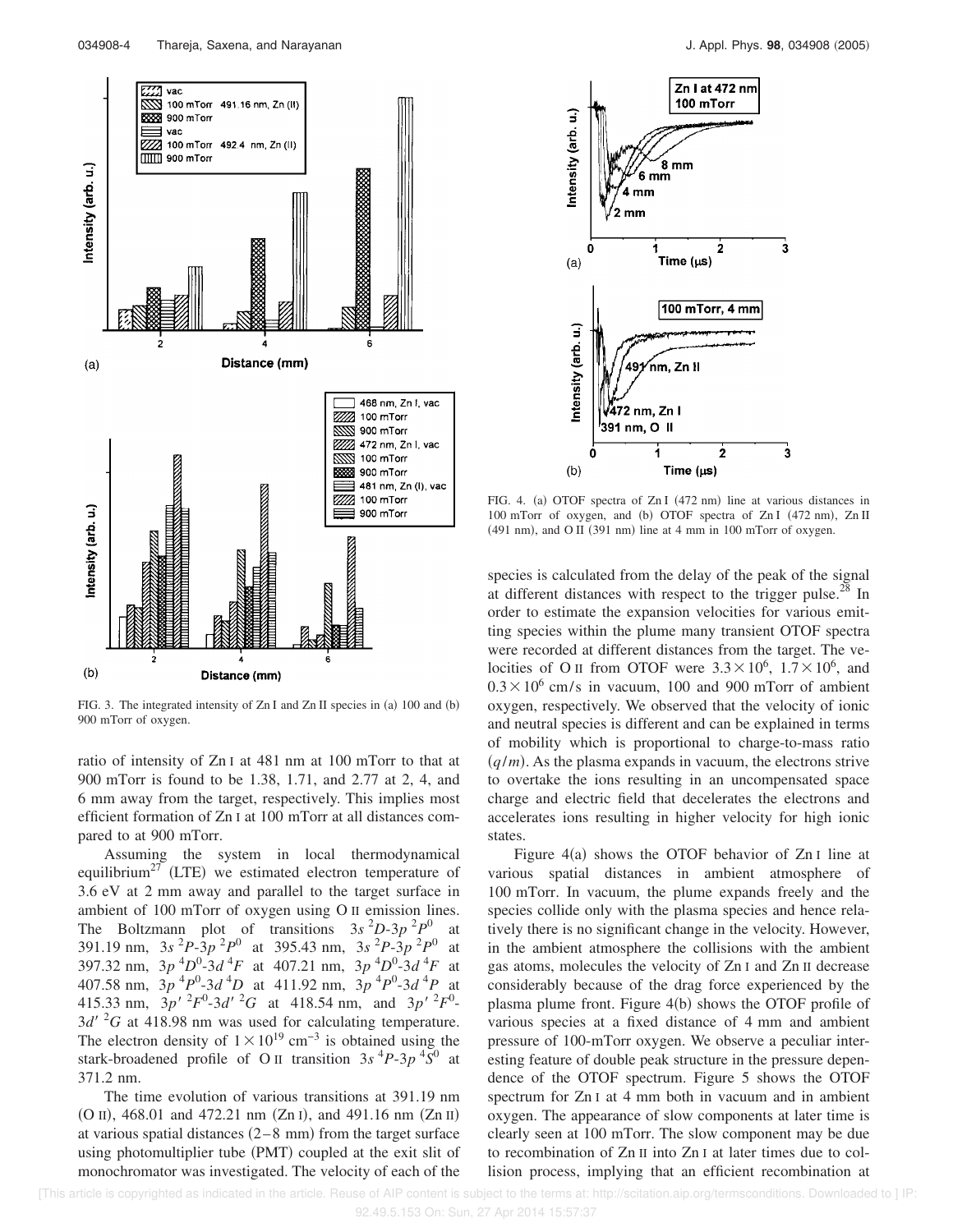

FIG. 3. The integrated intensity of  $ZnI$  and  $ZnII$  species in (a) 100 and (b) 900 mTorr of oxygen.

ratio of intensity of Zn I at 481 nm at 100 mTorr to that at 900 mTorr is found to be 1.38, 1.71, and 2.77 at 2, 4, and 6 mm away from the target, respectively. This implies most efficient formation of Zn I at 100 mTorr at all distances compared to at 900 mTorr.

Assuming the system in local thermodynamical equilibrium<sup>27</sup> (LTE) we estimated electron temperature of 3.6 eV at 2 mm away and parallel to the target surface in ambient of 100 mTorr of oxygen using O II emission lines. The Boltzmann plot of transitions  $3s^2D-3p^2P^0$ at 391.19 nm,  $3s^{2}P-3p^{2}P^{0}$  at 395.43 nm,  $3s^{2}P-3p^{2}P^{0}$  at 397.32 nm,  $3p^{4}D^{0}$ -3*d*<sup>4</sup>*F* at 407.21 nm,  $3p^{4}D^{0}$ -3*d*<sup>4</sup>*F* at 407.58 nm,  $3p^{4}P^{0}$ -3*d*<sup>4</sup>D at 411.92 nm,  $3p^{4}P^{0}$ -3*d*<sup>4</sup>P at 415.33 nm,  $3p'^2F^0-3d'^2G$  at 418.54 nm, and  $3p'^2F^0$ - $3d'$  <sup>2</sup>G at 418.98 nm was used for calculating temperature. The electron density of  $1 \times 10^{19}$  cm<sup>-3</sup> is obtained using the stark-broadened profile of O<sub>II</sub> transition  $3s<sup>4</sup>P-3p<sup>4</sup>S<sup>0</sup>$  at 371.2 nm.

The time evolution of various transitions at 391.19 nm (O II), 468.01 and 472.21 nm (Zn I), and 491.16 nm (Zn II) at various spatial distances  $(2-8 \text{ mm})$  from the target surface using photomultiplier tube (PMT) coupled at the exit slit of monochromator was investigated. The velocity of each of the



FIG. 4. (a) OTOF spectra of Zn I (472 nm) line at various distances in 100 mTorr of oxygen, and (b) OTOF spectra of Zn I (472 nm), Zn II  $(491 \text{ nm})$ , and O II  $(391 \text{ nm})$  line at 4 mm in 100 mTorr of oxygen.

species is calculated from the delay of the peak of the signal at different distances with respect to the trigger pulse.<sup>28</sup> In order to estimate the expansion velocities for various emitting species within the plume many transient OTOF spectra were recorded at different distances from the target. The velocities of O II from OTOF were  $3.3 \times 10^6$ ,  $1.7 \times 10^6$ , and  $0.3 \times 10^6$  cm/s in vacuum, 100 and 900 mTorr of ambient oxygen, respectively. We observed that the velocity of ionic and neutral species is different and can be explained in terms of mobility which is proportional to charge-to-mass ratio  $(q/m)$ . As the plasma expands in vacuum, the electrons strive to overtake the ions resulting in an uncompensated space charge and electric field that decelerates the electrons and accelerates ions resulting in higher velocity for high ionic states.

Figure  $4(a)$  shows the OTOF behavior of Zn I line at various spatial distances in ambient atmosphere of 100 mTorr. In vacuum, the plume expands freely and the species collide only with the plasma species and hence relatively there is no significant change in the velocity. However, in the ambient atmosphere the collisions with the ambient gas atoms, molecules the velocity of Zn I and Zn II decrease considerably because of the drag force experienced by the plasma plume front. Figure 4(b) shows the OTOF profile of various species at a fixed distance of 4 mm and ambient pressure of 100-mTorr oxygen. We observe a peculiar interesting feature of double peak structure in the pressure dependence of the OTOF spectrum. Figure 5 shows the OTOF spectrum for Zn I at 4 mm both in vacuum and in ambient oxygen. The appearance of slow components at later time is clearly seen at 100 mTorr. The slow component may be due to recombination of Zn II into Zn I at later times due to collision process, implying that an efficient recombination at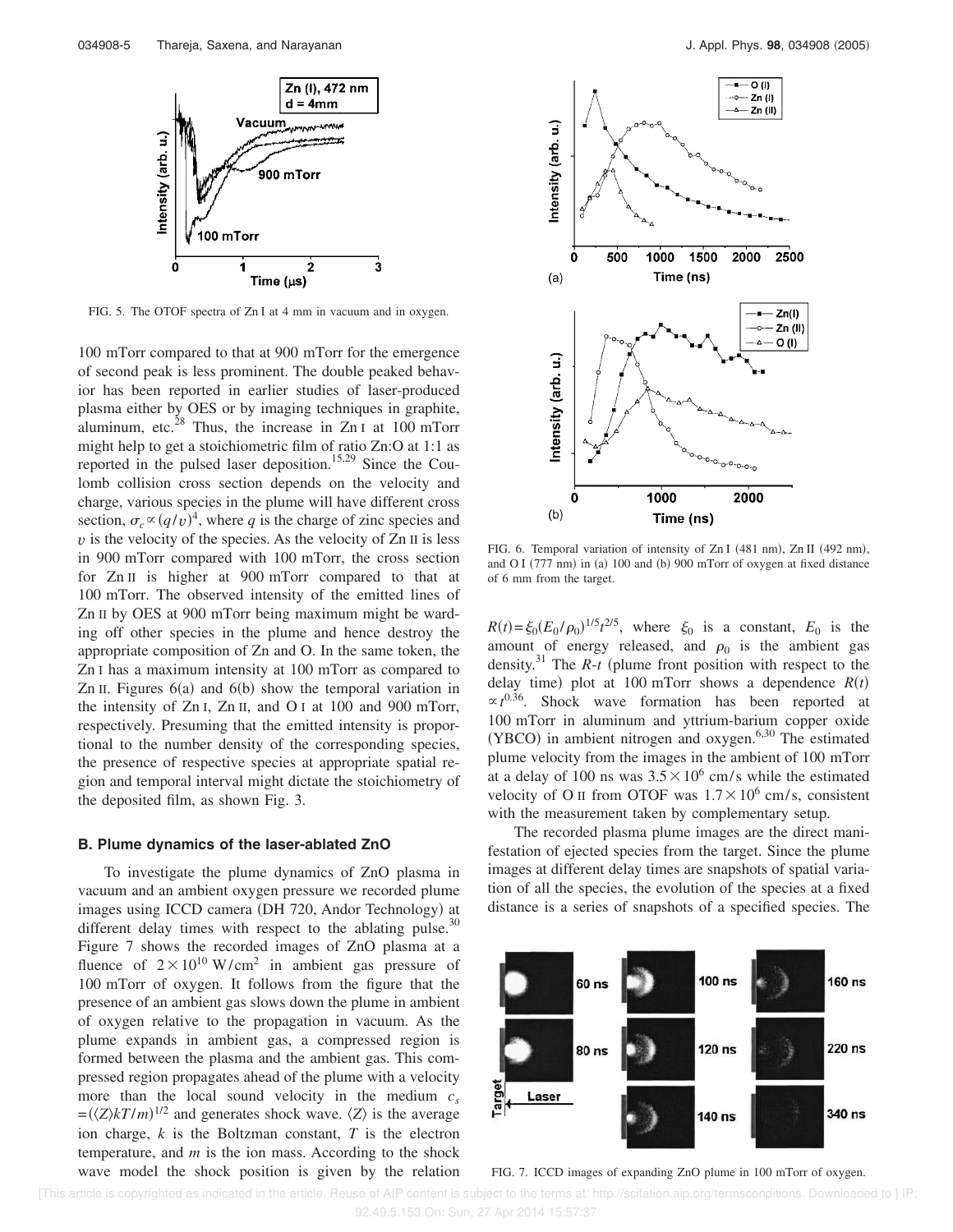

FIG. 5. The OTOF spectra of Zn I at 4 mm in vacuum and in oxygen.

100 mTorr compared to that at 900 mTorr for the emergence of second peak is less prominent. The double peaked behavior has been reported in earlier studies of laser-produced plasma either by OES or by imaging techniques in graphite, aluminum, etc.<sup>28</sup> Thus, the increase in Zn I at 100 mTorr might help to get a stoichiometric film of ratio Zn:O at 1:1 as reported in the pulsed laser deposition.<sup>15,29</sup> Since the Coulomb collision cross section depends on the velocity and charge, various species in the plume will have different cross section,  $\sigma_c \propto (q/v)^4$ , where *q* is the charge of zinc species and  $v$  is the velocity of the species. As the velocity of  $Zn$  II is less in 900 mTorr compared with 100 mTorr, the cross section for Zn II is higher at 900 mTorr compared to that at 100 mTorr. The observed intensity of the emitted lines of Zn II by OES at 900 mTorr being maximum might be warding off other species in the plume and hence destroy the appropriate composition of Zn and O. In the same token, the Zn I has a maximum intensity at 100 mTorr as compared to Zn II. Figures  $6(a)$  and  $6(b)$  show the temporal variation in the intensity of Zn I, Zn II, and O I at 100 and 900 mTorr, respectively. Presuming that the emitted intensity is proportional to the number density of the corresponding species, the presence of respective species at appropriate spatial region and temporal interval might dictate the stoichiometry of the deposited film, as shown Fig. 3.

#### **B. Plume dynamics of the laser-ablated ZnO**

To investigate the plume dynamics of ZnO plasma in vacuum and an ambient oxygen pressure we recorded plume images using ICCD camera (DH 720, Andor Technology) at different delay times with respect to the ablating pulse.<sup>30</sup> Figure 7 shows the recorded images of ZnO plasma at a fluence of  $2 \times 10^{10}$  W/cm<sup>2</sup> in ambient gas pressure of 100 mTorr of oxygen. It follows from the figure that the presence of an ambient gas slows down the plume in ambient of oxygen relative to the propagation in vacuum. As the plume expands in ambient gas, a compressed region is formed between the plasma and the ambient gas. This compressed region propagates ahead of the plume with a velocity more than the local sound velocity in the medium  $c_s$  $\langle Z \rangle kT/m$ <sup>1/2</sup> and generates shock wave.  $\langle Z \rangle$  is the average ion charge, *k* is the Boltzman constant, *T* is the electron temperature, and *m* is the ion mass. According to the shock wave model the shock position is given by the relation



FIG. 6. Temporal variation of intensity of Zn I (481 nm), Zn II (492 nm), and O I (777 nm) in (a) 100 and (b) 900 mTorr of oxygen at fixed distance of 6 mm from the target.

 $R(t) = \xi_0 (E_0 / \rho_0)^{1/5} t^{2/5}$ , where  $\xi_0$  is a constant,  $E_0$  is the amount of energy released, and  $\rho_0$  is the ambient gas density.<sup>31</sup> The  $R$ -*t* (plume front position with respect to the delay time) plot at 100 mTorr shows a dependence  $R(t)$  $\propto t^{0.36}$ . Shock wave formation has been reported at 100 mTorr in aluminum and yttrium-barium copper oxide (YBCO) in ambient nitrogen and oxygen.<sup>6,30</sup> The estimated plume velocity from the images in the ambient of 100 mTorr at a delay of 100 ns was  $3.5 \times 10^6$  cm/s while the estimated velocity of O II from OTOF was  $1.7 \times 10^6$  cm/s, consistent with the measurement taken by complementary setup.

The recorded plasma plume images are the direct manifestation of ejected species from the target. Since the plume images at different delay times are snapshots of spatial variation of all the species, the evolution of the species at a fixed distance is a series of snapshots of a specified species. The



FIG. 7. ICCD images of expanding ZnO plume in 100 mTorr of oxygen.

 [This article is copyrighted as indicated in the article. Reuse of AIP content is subject to the terms at: http://scitation.aip.org/termsconditions. Downloaded to ] IP: 92.49.5.153 On: Sun, 27 Apr 2014 15:57:37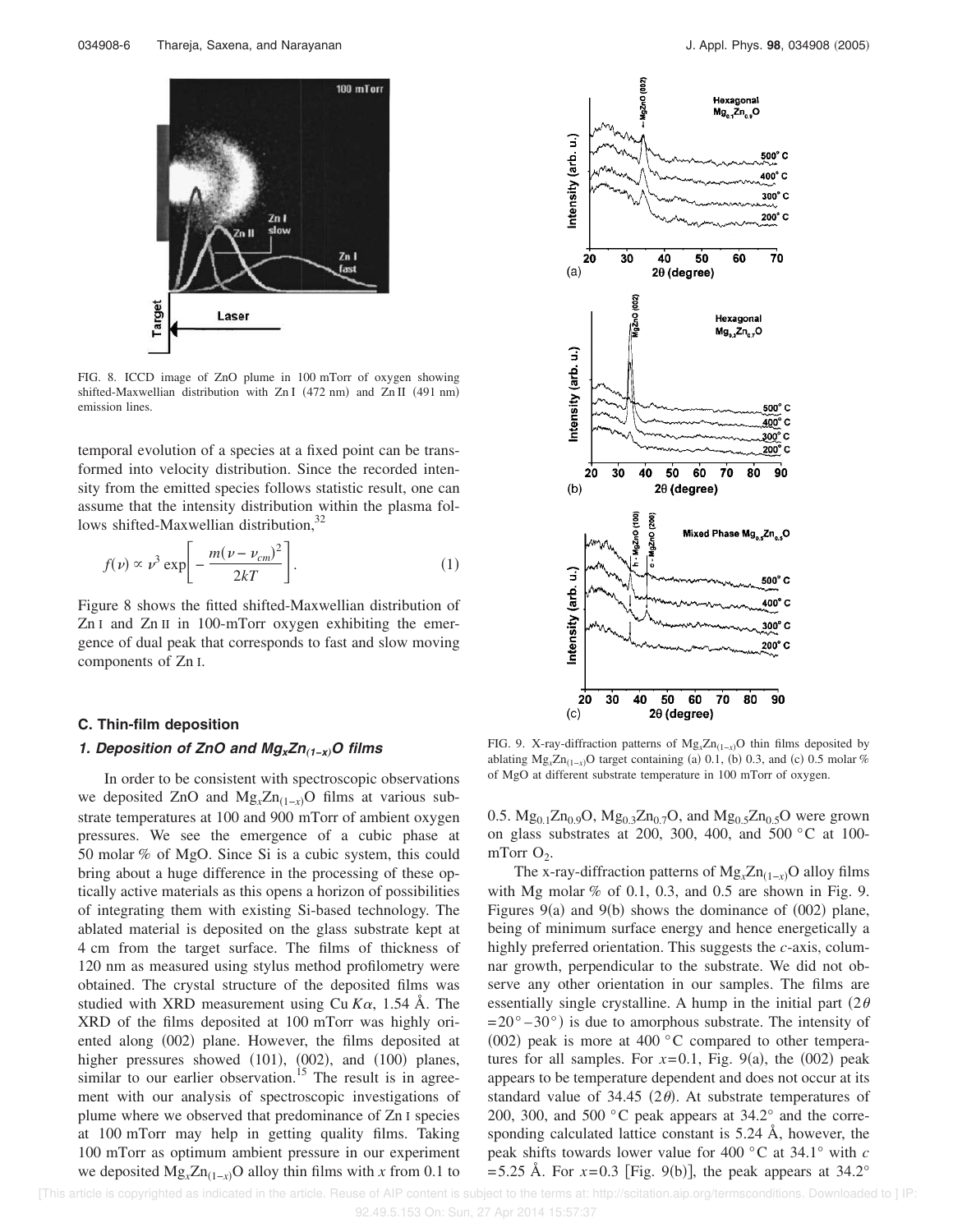

FIG. 8. ICCD image of ZnO plume in 100 mTorr of oxygen showing shifted-Maxwellian distribution with Zn I (472 nm) and Zn II (491 nm) emission lines.

temporal evolution of a species at a fixed point can be transformed into velocity distribution. Since the recorded intensity from the emitted species follows statistic result, one can assume that the intensity distribution within the plasma follows shifted-Maxwellian distribution,<sup>32</sup>

$$
f(\nu) \propto \nu^3 \exp\left[-\frac{m(\nu - \nu_{cm})^2}{2kT}\right].
$$
 (1)

Figure 8 shows the fitted shifted-Maxwellian distribution of Zn I and Zn II in 100-mTorr oxygen exhibiting the emergence of dual peak that corresponds to fast and slow moving components of Zn I.

### **C. Thin-film deposition**

### **1. Deposition of ZnO and MgxZn**"**1−x**…**<sup>O</sup> films**

In order to be consistent with spectroscopic observations we deposited ZnO and  $Mg_x Zn_{(1-x)}$ O films at various substrate temperatures at 100 and 900 mTorr of ambient oxygen pressures. We see the emergence of a cubic phase at 50 molar % of MgO. Since Si is a cubic system, this could bring about a huge difference in the processing of these optically active materials as this opens a horizon of possibilities of integrating them with existing Si-based technology. The ablated material is deposited on the glass substrate kept at 4 cm from the target surface. The films of thickness of 120 nm as measured using stylus method profilometry were obtained. The crystal structure of the deposited films was studied with XRD measurement using Cu  $K\alpha$ , 1.54 Å. The XRD of the films deposited at 100 mTorr was highly oriented along (002) plane. However, the films deposited at higher pressures showed  $(101)$ ,  $(002)$ , and  $(100)$  planes, similar to our earlier observation.<sup>15</sup> The result is in agreement with our analysis of spectroscopic investigations of plume where we observed that predominance of Zn I species at 100 mTorr may help in getting quality films. Taking 100 mTorr as optimum ambient pressure in our experiment we deposited  $Mg_x Zn_{(1-x)}$ O alloy thin films with *x* from 0.1 to



FIG. 9. X-ray-diffraction patterns of Mg<sub>*x*</sub>Zn<sub>(1-*x*)</sub>O thin films deposited by ablating  $Mg_x Zn_{(1-x)}$ O target containing (a) 0.1, (b) 0.3, and (c) 0.5 molar % of MgO at different substrate temperature in 100 mTorr of oxygen.

0.5.  $Mg_0$   $_1Zn_0$   $_9O$ ,  $Mg_0$   $_3Zn_0$   $_7O$ , and  $Mg_0$   $_5Zn_0$   $_5O$  were grown on glass substrates at 200, 300, 400, and 500 °C at 100 mTorr  $O_2$ .

The x-ray-diffraction patterns of Mg<sub>*x*</sub>Zn<sub>(1-*x*)</sub>O alloy films with Mg molar  $%$  of 0.1, 0.3, and 0.5 are shown in Fig. 9. Figures  $9(a)$  and  $9(b)$  shows the dominance of  $(002)$  plane, being of minimum surface energy and hence energetically a highly preferred orientation. This suggests the *c*-axis, columnar growth, perpendicular to the substrate. We did not observe any other orientation in our samples. The films are essentially single crystalline. A hump in the initial part  $(2\theta)$  $=20^{\circ} - 30^{\circ}$ ) is due to amorphous substrate. The intensity of (002) peak is more at 400  $^{\circ}$ C compared to other temperatures for all samples. For  $x=0.1$ , Fig. 9(a), the (002) peak appears to be temperature dependent and does not occur at its standard value of 34.45 (2 $\theta$ ). At substrate temperatures of 200, 300, and 500 °C peak appears at 34.2° and the corresponding calculated lattice constant is 5.24 Å, however, the peak shifts towards lower value for 400 °C at 34.1° with *c*  $=$  5.25 Å. For  $x=0.3$  [Fig. 9(b)], the peak appears at 34.2°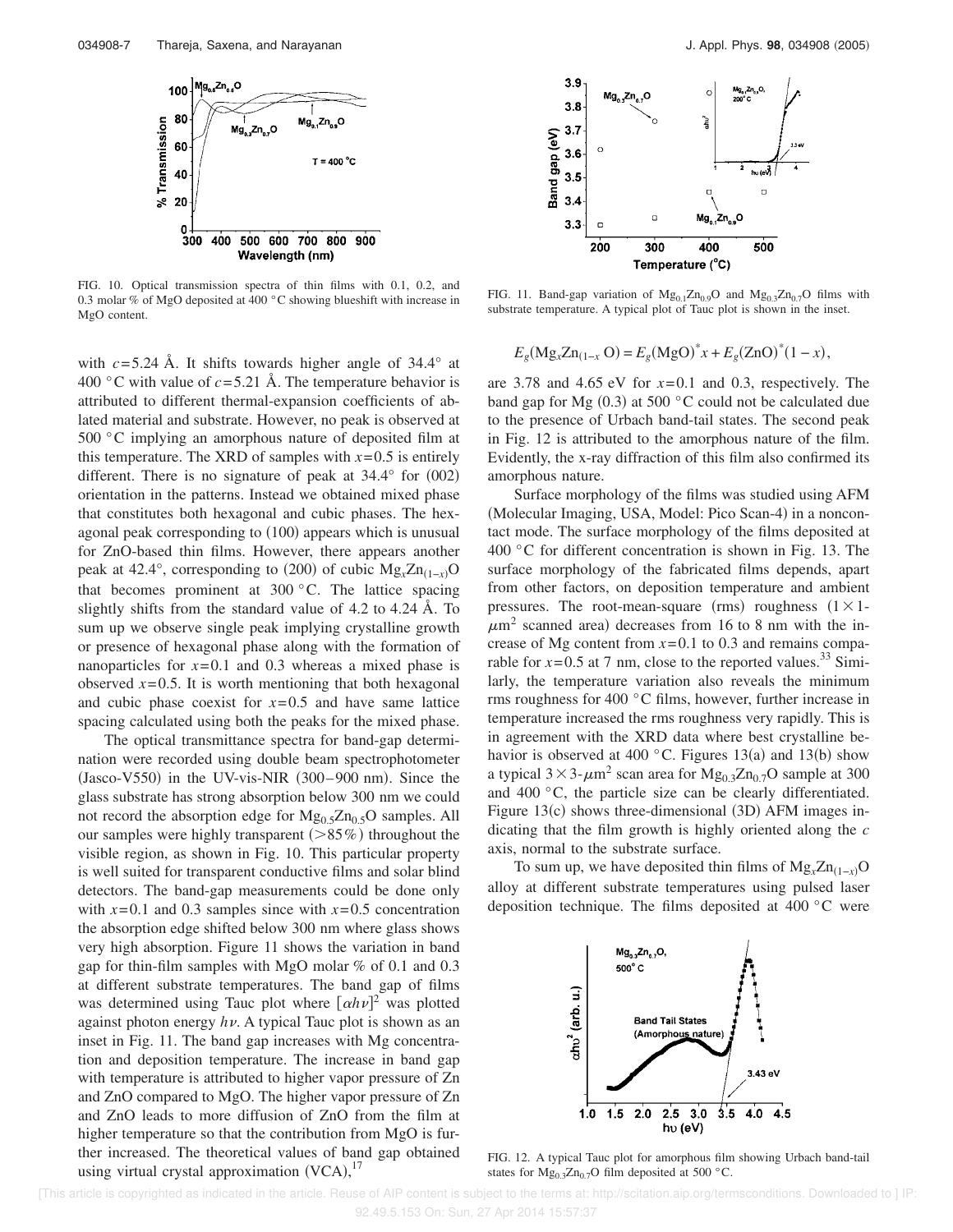

FIG. 10. Optical transmission spectra of thin films with 0.1, 0.2, and 0.3 molar % of MgO deposited at 400 °C showing blueshift with increase in MgO content.

with  $c = 5.24$  Å. It shifts towards higher angle of  $34.4^\circ$  at 400 °C with value of  $c = 5.21$  Å. The temperature behavior is attributed to different thermal-expansion coefficients of ablated material and substrate. However, no peak is observed at 500 °C implying an amorphous nature of deposited film at this temperature. The XRD of samples with  $x=0.5$  is entirely different. There is no signature of peak at  $34.4^{\circ}$  for  $(002)$ orientation in the patterns. Instead we obtained mixed phase that constitutes both hexagonal and cubic phases. The hexagonal peak corresponding to (100) appears which is unusual for ZnO-based thin films. However, there appears another peak at 42.4°, corresponding to (200) of cubic  $Mg_x Zn_{(1-x)}$ O that becomes prominent at  $300\,^{\circ}$ C. The lattice spacing slightly shifts from the standard value of 4.2 to 4.24 Å. To sum up we observe single peak implying crystalline growth or presence of hexagonal phase along with the formation of nanoparticles for  $x=0.1$  and 0.3 whereas a mixed phase is observed  $x=0.5$ . It is worth mentioning that both hexagonal and cubic phase coexist for  $x=0.5$  and have same lattice spacing calculated using both the peaks for the mixed phase.

The optical transmittance spectra for band-gap determination were recorded using double beam spectrophotometer  $(Jasco-V550)$  in the UV-vis-NIR  $(300-900)$  nm). Since the glass substrate has strong absorption below 300 nm we could not record the absorption edge for  $Mg_0$ <sub>5</sub>Zn<sub>0.5</sub>O samples. All our samples were highly transparent  $($ >85%) throughout the visible region, as shown in Fig. 10. This particular property is well suited for transparent conductive films and solar blind detectors. The band-gap measurements could be done only with  $x=0.1$  and 0.3 samples since with  $x=0.5$  concentration the absorption edge shifted below 300 nm where glass shows very high absorption. Figure 11 shows the variation in band gap for thin-film samples with MgO molar % of 0.1 and 0.3 at different substrate temperatures. The band gap of films was determined using Tauc plot where  $\left[ \alpha h \nu \right]^2$  was plotted against photon energy *h* . A typical Tauc plot is shown as an inset in Fig. 11. The band gap increases with Mg concentration and deposition temperature. The increase in band gap with temperature is attributed to higher vapor pressure of Zn and ZnO compared to MgO. The higher vapor pressure of Zn and ZnO leads to more diffusion of ZnO from the film at higher temperature so that the contribution from MgO is further increased. The theoretical values of band gap obtained using virtual crystal approximation  $(VCA)$ ,  $^{17}$ 



FIG. 11. Band-gap variation of  $Mg_{0,1}Zn_{0,9}O$  and  $Mg_{0,3}Zn_{0,7}O$  films with substrate temperature. A typical plot of Tauc plot is shown in the inset.

$$
E_g(Mg_x Zn_{(1-x} O) = E_g(Mg O)^* x + E_g(Zn O)^* (1 - x),
$$

are 3.78 and 4.65 eV for *x*=0.1 and 0.3, respectively. The band gap for Mg  $(0.3)$  at 500 °C could not be calculated due to the presence of Urbach band-tail states. The second peak in Fig. 12 is attributed to the amorphous nature of the film. Evidently, the x-ray diffraction of this film also confirmed its amorphous nature.

Surface morphology of the films was studied using AFM (Molecular Imaging, USA, Model: Pico Scan-4) in a noncontact mode. The surface morphology of the films deposited at 400 °C for different concentration is shown in Fig. 13. The surface morphology of the fabricated films depends, apart from other factors, on deposition temperature and ambient pressures. The root-mean-square (rms) roughness  $(1 \times 1$ - $\mu$ m<sup>2</sup> scanned area) decreases from 16 to 8 nm with the increase of Mg content from  $x=0.1$  to 0.3 and remains comparable for  $x=0.5$  at 7 nm, close to the reported values.<sup>33</sup> Similarly, the temperature variation also reveals the minimum rms roughness for 400 °C films, however, further increase in temperature increased the rms roughness very rapidly. This is in agreement with the XRD data where best crystalline behavior is observed at 400  $^{\circ}$ C. Figures 13(a) and 13(b) show a typical  $3 \times 3$ - $\mu$ m<sup>2</sup> scan area for Mg<sub>0.3</sub>Zn<sub>0.7</sub>O sample at 300 and 400 °C, the particle size can be clearly differentiated. Figure  $13(c)$  shows three-dimensional  $(3D)$  AFM images indicating that the film growth is highly oriented along the *c* axis, normal to the substrate surface.

To sum up, we have deposited thin films of  $Mg_x Zn_{(1-x)}$ O alloy at different substrate temperatures using pulsed laser deposition technique. The films deposited at 400 °C were



FIG. 12. A typical Tauc plot for amorphous film showing Urbach band-tail states for  $Mg_{0.3}Zn_{0.7}O$  film deposited at 500 °C.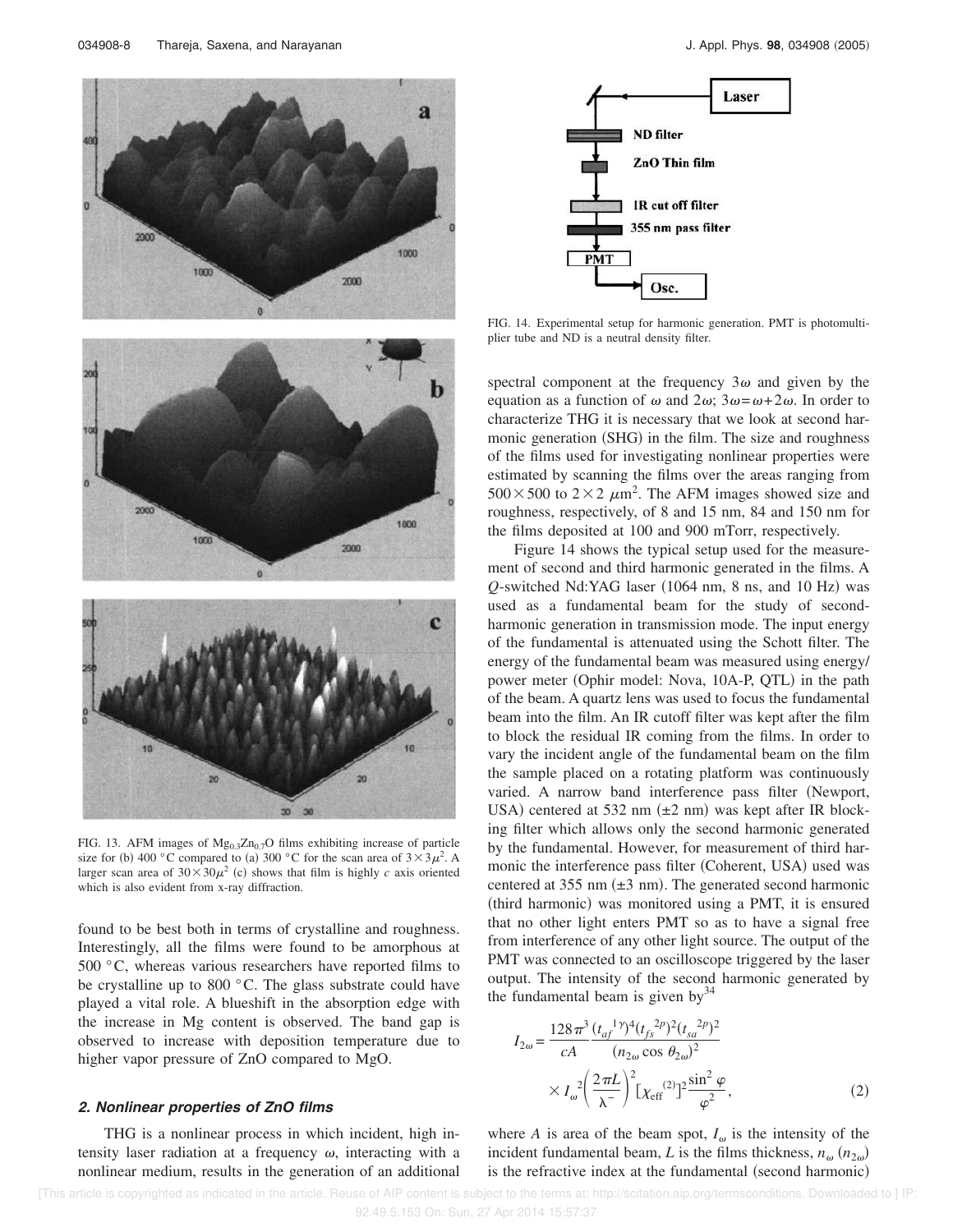

FIG. 13. AFM images of  $Mg_{0,3}Zn_{0,7}O$  films exhibiting increase of particle size for (b) 400 °C compared to (a) 300 °C for the scan area of  $3 \times 3\mu^2$ . A larger scan area of  $30 \times 30\mu^2$  (c) shows that film is highly *c* axis oriented which is also evident from x-ray diffraction.

found to be best both in terms of crystalline and roughness. Interestingly, all the films were found to be amorphous at 500 °C, whereas various researchers have reported films to be crystalline up to 800 °C. The glass substrate could have played a vital role. A blueshift in the absorption edge with the increase in Mg content is observed. The band gap is observed to increase with deposition temperature due to higher vapor pressure of ZnO compared to MgO.

#### **2. Nonlinear properties of ZnO films**

THG is a nonlinear process in which incident, high intensity laser radiation at a frequency  $\omega$ , interacting with a nonlinear medium, results in the generation of an additional



FIG. 14. Experimental setup for harmonic generation. PMT is photomultiplier tube and ND is a neutral density filter.

spectral component at the frequency  $3\omega$  and given by the equation as a function of  $\omega$  and  $2\omega$ ;  $3\omega = \omega + 2\omega$ . In order to characterize THG it is necessary that we look at second harmonic generation (SHG) in the film. The size and roughness of the films used for investigating nonlinear properties were estimated by scanning the films over the areas ranging from  $500 \times 500$  to  $2 \times 2 \mu m^2$ . The AFM images showed size and roughness, respectively, of 8 and 15 nm, 84 and 150 nm for the films deposited at 100 and 900 mTorr, respectively.

Figure 14 shows the typical setup used for the measurement of second and third harmonic generated in the films. A  $Q$ -switched Nd:YAG laser (1064 nm, 8 ns, and 10 Hz) was used as a fundamental beam for the study of secondharmonic generation in transmission mode. The input energy of the fundamental is attenuated using the Schott filter. The energy of the fundamental beam was measured using energy/ power meter (Ophir model: Nova, 10A-P, QTL) in the path of the beam. A quartz lens was used to focus the fundamental beam into the film. An IR cutoff filter was kept after the film to block the residual IR coming from the films. In order to vary the incident angle of the fundamental beam on the film the sample placed on a rotating platform was continuously varied. A narrow band interference pass filter (Newport, USA) centered at 532 nm  $(\pm 2 \text{ nm})$  was kept after IR blocking filter which allows only the second harmonic generated by the fundamental. However, for measurement of third harmonic the interference pass filter (Coherent, USA) used was centered at 355 nm  $(\pm 3 \text{ nm})$ . The generated second harmonic (third harmonic) was monitored using a PMT, it is ensured that no other light enters PMT so as to have a signal free from interference of any other light source. The output of the PMT was connected to an oscilloscope triggered by the laser output. The intensity of the second harmonic generated by the fundamental beam is given by $34$ 

$$
I_{2\omega} = \frac{128\pi^3}{cA} \frac{(t_{af}^{1\gamma})^4 (t_{fs}^{2p})^2 (t_{sa}^{2p})^2}{(n_{2\omega}\cos\theta_{2\omega})^2} \times I_{\omega}^2 \left(\frac{2\pi L}{\lambda^-}\right)^2 [\chi_{\text{eff}}^{(2)}]^2 \frac{\sin^2\varphi}{\varphi^2},
$$
 (2)

where *A* is area of the beam spot,  $I_{\omega}$  is the intensity of the incident fundamental beam, *L* is the films thickness,  $n_{\omega}$   $(n_{2\omega})$ is the refractive index at the fundamental (second harmonic)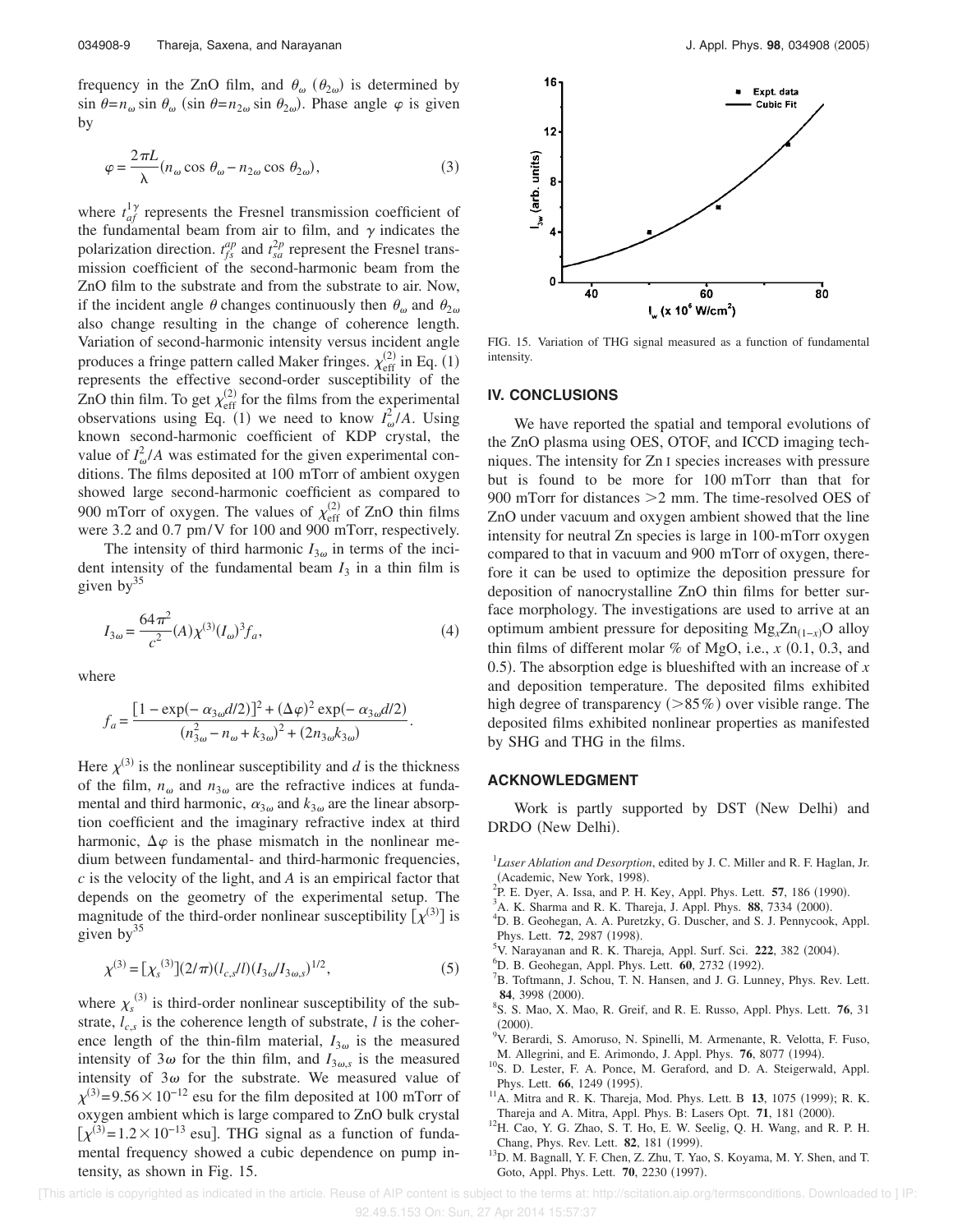frequency in the ZnO film, and  $\theta_{\omega}$  ( $\theta_{2\omega}$ ) is determined by  $\sin \theta = n_{\omega} \sin \theta_{\omega}$  (sin  $\theta = n_{2\omega} \sin \theta_{2\omega}$ ). Phase angle  $\varphi$  is given by

$$
\varphi = \frac{2\pi L}{\lambda} (n_{\omega} \cos \theta_{\omega} - n_{2\omega} \cos \theta_{2\omega}),
$$
\n(3)

where  $t_{af}^{1\gamma}$  represents the Fresnel transmission coefficient of the fundamental beam from air to film, and  $\gamma$  indicates the polarization direction.  $t_{fs}^{ap}$  and  $t_{sa}^{2p}$  represent the Fresnel transmission coefficient of the second-harmonic beam from the ZnO film to the substrate and from the substrate to air. Now, if the incident angle  $\theta$  changes continuously then  $\theta_{\omega}$  and  $\theta_{2\omega}$ also change resulting in the change of coherence length. Variation of second-harmonic intensity versus incident angle produces a fringe pattern called Maker fringes.  $\chi_{\text{eff}}^{(2)}$  in Eq. (1) represents the effective second-order susceptibility of the ZnO thin film. To get  $\chi_{\text{eff}}^{(2)}$  for the films from the experimental observations using Eq. (1) we need to know  $I_{\omega}^2/A$ . Using known second-harmonic coefficient of KDP crystal, the value of  $I_{\omega}^2/A$  was estimated for the given experimental conditions. The films deposited at 100 mTorr of ambient oxygen showed large second-harmonic coefficient as compared to 900 mTorr of oxygen. The values of  $\chi_{\text{eff}}^{(2)}$  of ZnO thin films were 3.2 and 0.7 pm/V for 100 and 900 mTorr, respectively.

The intensity of third harmonic  $I_{3\omega}$  in terms of the incident intensity of the fundamental beam  $I_3$  in a thin film is given by $35$ 

$$
I_{3\omega} = \frac{64\pi^2}{c^2} (A) \chi^{(3)}(I_{\omega})^3 f_a,
$$
 (4)

where

$$
f_a = \frac{[1 - \exp(-\alpha_{3\omega}d/2)]^2 + (\Delta\varphi)^2 \exp(-\alpha_{3\omega}d/2)}{(n_{3\omega}^2 - n_{\omega} + k_{3\omega})^2 + (2n_{3\omega}k_{3\omega})}.
$$

Here  $\chi^{(3)}$  is the nonlinear susceptibility and *d* is the thickness of the film,  $n_{\omega}$  and  $n_{3\omega}$  are the refractive indices at fundamental and third harmonic,  $\alpha_{3\omega}$  and  $k_{3\omega}$  are the linear absorption coefficient and the imaginary refractive index at third harmonic,  $\Delta \varphi$  is the phase mismatch in the nonlinear medium between fundamental- and third-harmonic frequencies, *c* is the velocity of the light, and *A* is an empirical factor that depends on the geometry of the experimental setup. The magnitude of the third-order nonlinear susceptibility  $[\chi^{(3)}]$  is given  $bv^{35}$ 

$$
\chi^{(3)} = [\chi_s^{(3)}](2/\pi)(l_{c,s}/l)(I_{3\omega}/I_{3\omega,s})^{1/2},\tag{5}
$$

where  $\chi_s^{(3)}$  is third-order nonlinear susceptibility of the substrate,  $l_{c,s}$  is the coherence length of substrate, *l* is the coherence length of the thin-film material,  $I_{3\omega}$  is the measured intensity of  $3\omega$  for the thin film, and  $I_{3\omega,s}$  is the measured intensity of  $3\omega$  for the substrate. We measured value of  $\chi^{(3)}$ =9.56 × 10<sup>-12</sup> esu for the film deposited at 100 mTorr of oxygen ambient which is large compared to ZnO bulk crystal  $[\chi^{(3)}=1.2\times10^{-13}$  esu]. THG signal as a function of fundamental frequency showed a cubic dependence on pump intensity, as shown in Fig. 15.



FIG. 15. Variation of THG signal measured as a function of fundamental intensity.

#### **IV. CONCLUSIONS**

We have reported the spatial and temporal evolutions of the ZnO plasma using OES, OTOF, and ICCD imaging techniques. The intensity for Zn I species increases with pressure but is found to be more for 100 mTorr than that for 900 mTorr for distances  $>2$  mm. The time-resolved OES of ZnO under vacuum and oxygen ambient showed that the line intensity for neutral Zn species is large in 100-mTorr oxygen compared to that in vacuum and 900 mTorr of oxygen, therefore it can be used to optimize the deposition pressure for deposition of nanocrystalline ZnO thin films for better surface morphology. The investigations are used to arrive at an optimum ambient pressure for depositing Mg<sub>*x*</sub>Zn<sub>(1-*x*)</sub>O alloy thin films of different molar  $\%$  of MgO, i.e.,  $x$  (0.1, 0.3, and 0.5). The absorption edge is blueshifted with an increase of  $x$ and deposition temperature. The deposited films exhibited high degree of transparency  $(>85\%)$  over visible range. The deposited films exhibited nonlinear properties as manifested by SHG and THG in the films.

#### **ACKNOWLEDGMENT**

Work is partly supported by DST (New Delhi) and DRDO (New Delhi).

- <sup>1</sup>Laser Ablation and Desorption, edited by J. C. Miller and R. F. Haglan, Jr. (Academic, New York, 1998).
- <sup>2</sup>P. E. Dyer, A. Issa, and P. H. Key, Appl. Phys. Lett. **57**, 186 (1990).
- <sup>3</sup>A. K. Sharma and R. K. Thareja, J. Appl. Phys. 88, 7334 (2000).
- <sup>4</sup>D. B. Geohegan, A. A. Puretzky, G. Duscher, and S. J. Pennycook, Appl. Phys. Lett. 72, 2987 (1998).
- <sup>5</sup>V. Narayanan and R. K. Thareja, Appl. Surf. Sci. 222, 382 (2004).
- <sup>6</sup>D. B. Geohegan, Appl. Phys. Lett. **60**, 2732 (1992).
- <sup>7</sup>B. Toftmann, J. Schou, T. N. Hansen, and J. G. Lunney, Phys. Rev. Lett. 84, 3998 (2000).
- 8 S. S. Mao, X. Mao, R. Greif, and R. E. Russo, Appl. Phys. Lett. **76**, 31  $(2000).$
- <sup>9</sup>V. Berardi, S. Amoruso, N. Spinelli, M. Armenante, R. Velotta, F. Fuso, M. Allegrini, and E. Arimondo, J. Appl. Phys. **76**, 8077 (1994).
- <sup>10</sup>S. D. Lester, F. A. Ponce, M. Geraford, and D. A. Steigerwald, Appl. Phys. Lett. **66**, 1249 (1995).
- $11$ A. Mitra and R. K. Thareja, Mod. Phys. Lett. B 13, 1075 (1999); R. K. Thareja and A. Mitra, Appl. Phys. B: Lasers Opt. 71, 181 (2000).
- <sup>12</sup>H. Cao, Y. G. Zhao, S. T. Ho, E. W. Seelig, Q. H. Wang, and R. P. H. Chang, Phys. Rev. Lett. **82**, 181 (1999).
- <sup>13</sup>D. M. Bagnall, Y. F. Chen, Z. Zhu, T. Yao, S. Koyama, M. Y. Shen, and T. Goto, Appl. Phys. Lett. **70**, 2230 (1997).